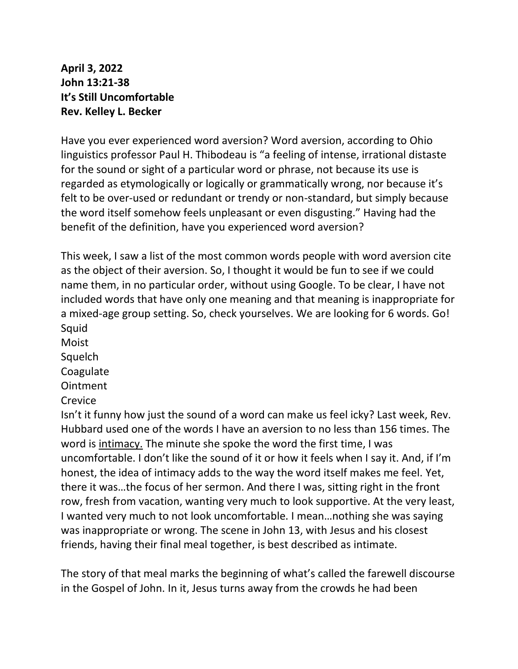**April 3, 2022 John 13:21-38 It's Still Uncomfortable Rev. Kelley L. Becker**

Have you ever experienced word aversion? Word aversion, according to Ohio linguistics professor Paul H. Thibodeau is "a feeling of intense, irrational distaste for the sound or sight of a particular word or phrase, not because its use is regarded as etymologically or logically or grammatically wrong, nor because it's felt to be over-used or redundant or trendy or non-standard, but simply because the word itself somehow feels unpleasant or even disgusting." Having had the benefit of the definition, have you experienced word aversion?

This week, I saw a list of the most common words people with word aversion cite as the object of their aversion. So, I thought it would be fun to see if we could name them, in no particular order, without using Google. To be clear, I have not included words that have only one meaning and that meaning is inappropriate for a mixed-age group setting. So, check yourselves. We are looking for 6 words. Go! Squid

Moist Squelch **Coagulate** Ointment

**Crevice** 

Isn't it funny how just the sound of a word can make us feel icky? Last week, Rev. Hubbard used one of the words I have an aversion to no less than 156 times. The word is intimacy. The minute she spoke the word the first time, I was uncomfortable. I don't like the sound of it or how it feels when I say it. And, if I'm honest, the idea of intimacy adds to the way the word itself makes me feel. Yet, there it was…the focus of her sermon. And there I was, sitting right in the front row, fresh from vacation, wanting very much to look supportive. At the very least, I wanted very much to not look uncomfortable. I mean…nothing she was saying was inappropriate or wrong. The scene in John 13, with Jesus and his closest friends, having their final meal together, is best described as intimate.

The story of that meal marks the beginning of what's called the farewell discourse in the Gospel of John. In it, Jesus turns away from the crowds he had been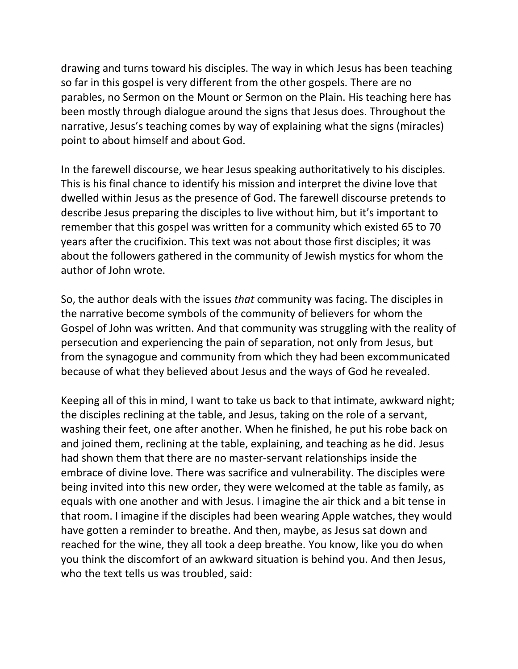drawing and turns toward his disciples. The way in which Jesus has been teaching so far in this gospel is very different from the other gospels. There are no parables, no Sermon on the Mount or Sermon on the Plain. His teaching here has been mostly through dialogue around the signs that Jesus does. Throughout the narrative, Jesus's teaching comes by way of explaining what the signs (miracles) point to about himself and about God.

In the farewell discourse, we hear Jesus speaking authoritatively to his disciples. This is his final chance to identify his mission and interpret the divine love that dwelled within Jesus as the presence of God. The farewell discourse pretends to describe Jesus preparing the disciples to live without him, but it's important to remember that this gospel was written for a community which existed 65 to 70 years after the crucifixion. This text was not about those first disciples; it was about the followers gathered in the community of Jewish mystics for whom the author of John wrote.

So, the author deals with the issues *that* community was facing. The disciples in the narrative become symbols of the community of believers for whom the Gospel of John was written. And that community was struggling with the reality of persecution and experiencing the pain of separation, not only from Jesus, but from the synagogue and community from which they had been excommunicated because of what they believed about Jesus and the ways of God he revealed.

Keeping all of this in mind, I want to take us back to that intimate, awkward night; the disciples reclining at the table, and Jesus, taking on the role of a servant, washing their feet, one after another. When he finished, he put his robe back on and joined them, reclining at the table, explaining, and teaching as he did. Jesus had shown them that there are no master-servant relationships inside the embrace of divine love. There was sacrifice and vulnerability. The disciples were being invited into this new order, they were welcomed at the table as family, as equals with one another and with Jesus. I imagine the air thick and a bit tense in that room. I imagine if the disciples had been wearing Apple watches, they would have gotten a reminder to breathe. And then, maybe, as Jesus sat down and reached for the wine, they all took a deep breathe. You know, like you do when you think the discomfort of an awkward situation is behind you. And then Jesus, who the text tells us was troubled, said: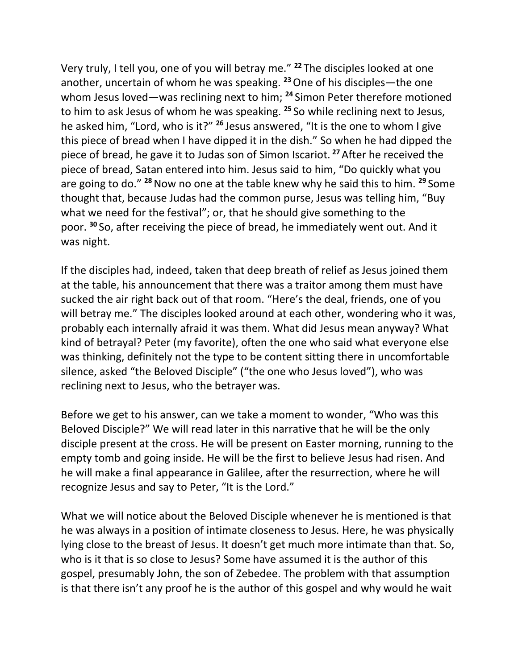Very truly, I tell you, one of you will betray me." **<sup>22</sup>** The disciples looked at one another, uncertain of whom he was speaking. **<sup>23</sup>**One of his disciples—the one whom Jesus loved—was reclining next to him; **<sup>24</sup>** Simon Peter therefore motioned to him to ask Jesus of whom he was speaking. **<sup>25</sup>** So while reclining next to Jesus, he asked him, "Lord, who is it?" **<sup>26</sup>** Jesus answered, "It is the one to whom I give this piece of bread when I have dipped it in the dish." So when he had dipped the piece of bread, he gave it to Judas son of Simon Iscariot. **<sup>27</sup>**After he received the piece of bread, Satan entered into him. Jesus said to him, "Do quickly what you are going to do." **<sup>28</sup>**Now no one at the table knew why he said this to him. **<sup>29</sup>** Some thought that, because Judas had the common purse, Jesus was telling him, "Buy what we need for the festival"; or, that he should give something to the poor. **<sup>30</sup>** So, after receiving the piece of bread, he immediately went out. And it was night.

If the disciples had, indeed, taken that deep breath of relief as Jesus joined them at the table, his announcement that there was a traitor among them must have sucked the air right back out of that room. "Here's the deal, friends, one of you will betray me." The disciples looked around at each other, wondering who it was, probably each internally afraid it was them. What did Jesus mean anyway? What kind of betrayal? Peter (my favorite), often the one who said what everyone else was thinking, definitely not the type to be content sitting there in uncomfortable silence, asked "the Beloved Disciple" ("the one who Jesus loved"), who was reclining next to Jesus, who the betrayer was.

Before we get to his answer, can we take a moment to wonder, "Who was this Beloved Disciple?" We will read later in this narrative that he will be the only disciple present at the cross. He will be present on Easter morning, running to the empty tomb and going inside. He will be the first to believe Jesus had risen. And he will make a final appearance in Galilee, after the resurrection, where he will recognize Jesus and say to Peter, "It is the Lord."

What we will notice about the Beloved Disciple whenever he is mentioned is that he was always in a position of intimate closeness to Jesus. Here, he was physically lying close to the breast of Jesus. It doesn't get much more intimate than that. So, who is it that is so close to Jesus? Some have assumed it is the author of this gospel, presumably John, the son of Zebedee. The problem with that assumption is that there isn't any proof he is the author of this gospel and why would he wait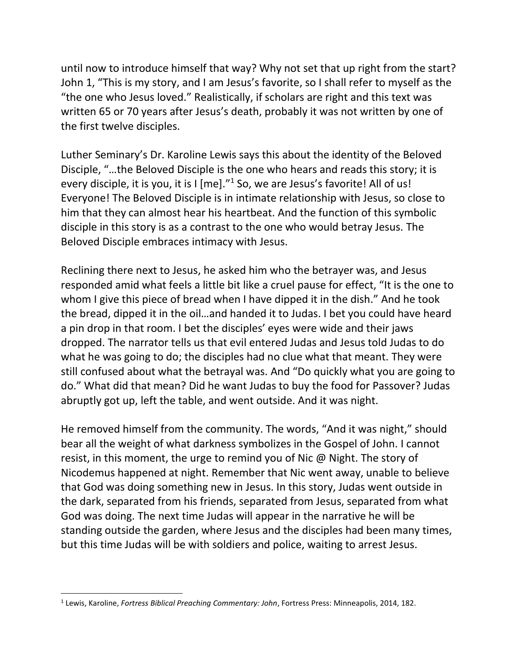until now to introduce himself that way? Why not set that up right from the start? John 1, "This is my story, and I am Jesus's favorite, so I shall refer to myself as the "the one who Jesus loved." Realistically, if scholars are right and this text was written 65 or 70 years after Jesus's death, probably it was not written by one of the first twelve disciples.

Luther Seminary's Dr. Karoline Lewis says this about the identity of the Beloved Disciple, "…the Beloved Disciple is the one who hears and reads this story; it is every disciple, it is you, it is I [me]."<sup>1</sup> So, we are Jesus's favorite! All of us! Everyone! The Beloved Disciple is in intimate relationship with Jesus, so close to him that they can almost hear his heartbeat. And the function of this symbolic disciple in this story is as a contrast to the one who would betray Jesus. The Beloved Disciple embraces intimacy with Jesus.

Reclining there next to Jesus, he asked him who the betrayer was, and Jesus responded amid what feels a little bit like a cruel pause for effect, "It is the one to whom I give this piece of bread when I have dipped it in the dish." And he took the bread, dipped it in the oil…and handed it to Judas. I bet you could have heard a pin drop in that room. I bet the disciples' eyes were wide and their jaws dropped. The narrator tells us that evil entered Judas and Jesus told Judas to do what he was going to do; the disciples had no clue what that meant. They were still confused about what the betrayal was. And "Do quickly what you are going to do." What did that mean? Did he want Judas to buy the food for Passover? Judas abruptly got up, left the table, and went outside. And it was night.

He removed himself from the community. The words, "And it was night," should bear all the weight of what darkness symbolizes in the Gospel of John. I cannot resist, in this moment, the urge to remind you of Nic @ Night. The story of Nicodemus happened at night. Remember that Nic went away, unable to believe that God was doing something new in Jesus. In this story, Judas went outside in the dark, separated from his friends, separated from Jesus, separated from what God was doing. The next time Judas will appear in the narrative he will be standing outside the garden, where Jesus and the disciples had been many times, but this time Judas will be with soldiers and police, waiting to arrest Jesus.

<sup>1</sup> Lewis, Karoline, *Fortress Biblical Preaching Commentary: John*, Fortress Press: Minneapolis, 2014, 182.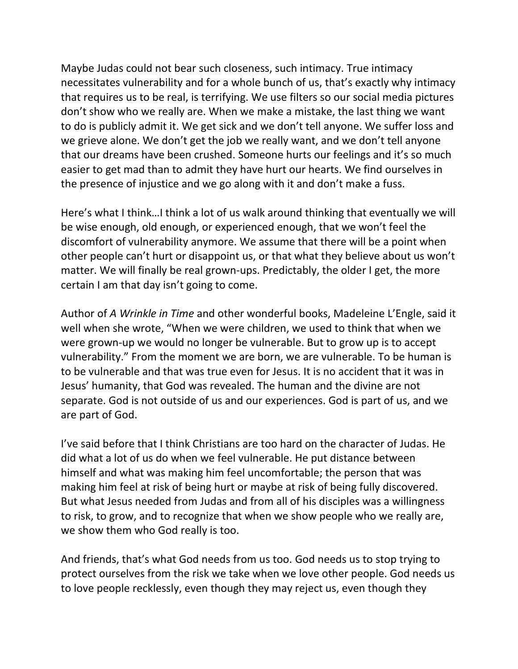Maybe Judas could not bear such closeness, such intimacy. True intimacy necessitates vulnerability and for a whole bunch of us, that's exactly why intimacy that requires us to be real, is terrifying. We use filters so our social media pictures don't show who we really are. When we make a mistake, the last thing we want to do is publicly admit it. We get sick and we don't tell anyone. We suffer loss and we grieve alone. We don't get the job we really want, and we don't tell anyone that our dreams have been crushed. Someone hurts our feelings and it's so much easier to get mad than to admit they have hurt our hearts. We find ourselves in the presence of injustice and we go along with it and don't make a fuss.

Here's what I think…I think a lot of us walk around thinking that eventually we will be wise enough, old enough, or experienced enough, that we won't feel the discomfort of vulnerability anymore. We assume that there will be a point when other people can't hurt or disappoint us, or that what they believe about us won't matter. We will finally be real grown-ups. Predictably, the older I get, the more certain I am that day isn't going to come.

Author of *A Wrinkle in Time* and other wonderful books, Madeleine L'Engle, said it well when she wrote, "When we were children, we used to think that when we were grown-up we would no longer be vulnerable. But to grow up is to accept vulnerability." From the moment we are born, we are vulnerable. To be human is to be vulnerable and that was true even for Jesus. It is no accident that it was in Jesus' humanity, that God was revealed. The human and the divine are not separate. God is not outside of us and our experiences. God is part of us, and we are part of God.

I've said before that I think Christians are too hard on the character of Judas. He did what a lot of us do when we feel vulnerable. He put distance between himself and what was making him feel uncomfortable; the person that was making him feel at risk of being hurt or maybe at risk of being fully discovered. But what Jesus needed from Judas and from all of his disciples was a willingness to risk, to grow, and to recognize that when we show people who we really are, we show them who God really is too.

And friends, that's what God needs from us too. God needs us to stop trying to protect ourselves from the risk we take when we love other people. God needs us to love people recklessly, even though they may reject us, even though they